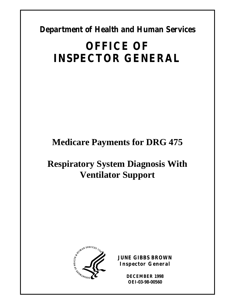**Department of Health and Human Services** 

# **OFFICE OF INSPECTOR GENERAL**

# **Medicare Payments for DRG 475**

# **Respiratory System Diagnosis With Ventilator Support**



**JUNE GIBBS BROWN Inspector General** 

> **DECEMBER 1998 OEI-03-98-00560**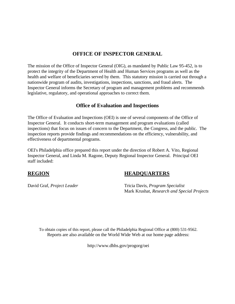## **OFFICE OF INSPECTOR GENERAL**

The mission of the Office of Inspector General (OIG), as mandated by Public Law 95-452, is to protect the integrity of the Department of Health and Human Services programs as well as the health and welfare of beneficiaries served by them. This statutory mission is carried out through a nationwide program of audits, investigations, inspections, sanctions, and fraud alerts. The Inspector General informs the Secretary of program and management problems and recommends legislative, regulatory, and operational approaches to correct them.

# **Office of Evaluation and Inspections**

The Office of Evaluation and Inspections (OEI) is one of several components of the Office of Inspector General. It conducts short-term management and program evaluations (called inspections) that focus on issues of concern to the Department, the Congress, and the public. The inspection reports provide findings and recommendations on the efficiency, vulnerability, and effectiveness of departmental programs.

OEI's Philadelphia office prepared this report under the direction of Robert A. Vito, Regional Inspector General, and Linda M. Ragone, Deputy Regional Inspector General. Principal OEI staff included:

## **REGION HEADQUARTERS**

David Graf, *Project Leader* Tricia Davis, *Program Specialist*  Mark Krushat*, Research and Special Projects* 

To obtain copies of this report, please call the Philadelphia Regional Office at (800) 531-9562. Reports are also available on the World Wide Web at our home page address:

http://www.dhhs.gov/progorg/oei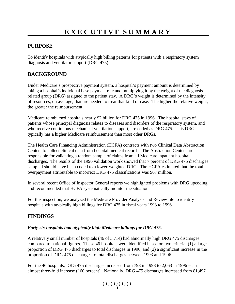# **PURPOSE**

To identify hospitals with atypically high billing patterns for patients with a respiratory system diagnosis and ventilator support (DRG 475).

# **BACKGROUND**

Under Medicare's prospective payment system, a hospital's payment amount is determined by taking a hospital's individual base payment rate and multiplying it by the weight of the diagnosis related group (DRG) assigned to the patient stay. A DRG's weight is determined by the intensity of resources, on average, that are needed to treat that kind of case. The higher the relative weight, the greater the reimbursement.

Medicare reimbursed hospitals nearly \$2 billion for DRG 475 in 1996. The hospital stays of patients whose principal diagnosis relates to diseases and disorders of the respiratory system, and who receive continuous mechanical ventilation support, are coded as DRG 475. This DRG typically has a higher Medicare reimbursement than most other DRGs.

The Health Care Financing Administration (HCFA) contracts with two Clinical Data Abstraction Centers to collect clinical data from hospital medical records. The Abstraction Centers are responsible for validating a random sample of claims from all Medicare inpatient hospital discharges. The results of the 1996 validation work showed that 7 percent of DRG 475 discharges sampled should have been coded to a lower-weighted DRG. The HCFA estimated that the total overpayment attributable to incorrect DRG 475 classifications was \$67 million.

In several recent Office of Inspector General reports we highlighted problems with DRG upcoding and recommended that HCFA systematically monitor the situation.

For this inspection, we analyzed the Medicare Provider Analysis and Review file to identify hospitals with atypically high billings for DRG 475 in fiscal years 1993 to 1996.

# **FINDINGS**

#### *Forty-six hospitals had atypically high Medicare billings for DRG 475.*

A relatively small number of hospitals (46 of 3,714) had abnormally high DRG 475 discharges compared to national figures. These 46 hospitals were identified based on two criteria: (1) a large proportion of DRG 475 discharges to total discharges in 1996, and (2) a significant increase in the proportion of DRG 475 discharges to total discharges between 1993 and 1996.

For the 46 hospitals, DRG 475 discharges increased from 793 in 1993 to 2,063 in 1996 -- an almost three-fold increase (160 percent). Nationally, DRG 475 discharges increased from 81,497

 $($ )))))))))))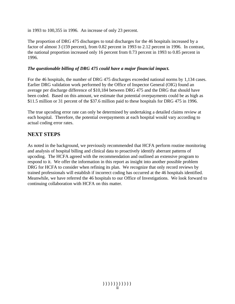in 1993 to 100,355 in 1996. An increase of only 23 percent.

The proportion of DRG 475 discharges to total discharges for the 46 hospitals increased by a factor of almost 3 (159 percent), from 0.82 percent in 1993 to 2.12 percent in 1996. In contrast, the national proportion increased only 16 percent from 0.73 percent in 1993 to 0.85 percent in 1996.

#### *The questionable billing of DRG 475 could have a major financial impact.*

For the 46 hospitals, the number of DRG 475 discharges exceeded national norms by 1,134 cases. Earlier DRG validation work performed by the Office of Inspector General (OIG) found an average per discharge difference of \$10,184 between DRG 475 and the DRG that should have been coded. Based on this amount, we estimate that potential overpayments could be as high as \$11.5 million or 31 percent of the \$37.6 million paid to these hospitals for DRG 475 in 1996.

The true upcoding error rate can only be determined by undertaking a detailed claims review at each hospital. Therefore, the potential overpayments at each hospital would vary according to actual coding error rates.

## **NEXT STEPS**

As noted in the background, we previously recommended that HCFA perform routine monitoring and analysis of hospital billing and clinical data to proactively identify aberrant patterns of upcoding. The HCFA agreed with the recommendation and outlined an extensive program to respond to it. We offer the information in this report as insight into another possible problem DRG for HCFA to consider when refining its plan. We recognize that only record reviews by trained professionals will establish if incorrect coding has occurred at the 46 hospitals identified. Meanwhile, we have referred the 46 hospitals to our Office of Investigations. We look forward to continuing collaboration with HCFA on this matter.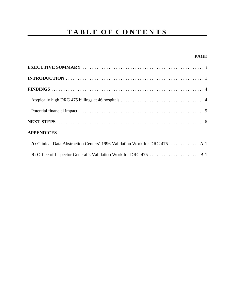# **TABLE OF CONTENTS**

#### **PAGE**

| <b>APPENDICES</b>                                                           |
|-----------------------------------------------------------------------------|
| A: Clinical Data Abstraction Centers' 1996 Validation Work for DRG 475  A-1 |
|                                                                             |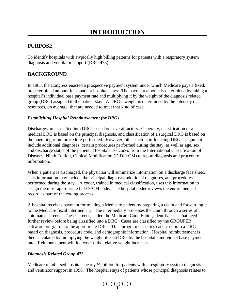# **PURPOSE**

To identify hospitals with atypically high billing patterns for patients with a respiratory system diagnosis and ventilator support (DRG 475).

# **BACKGROUND**

In 1983, the Congress enacted a prospective payment system under which Medicare pays a fixed, predetermined amount for inpatient hospital stays. The payment amount is determined by taking a hospital's individual base payment rate and multiplying it by the weight of the diagnosis related group (DRG) assigned to the patient stay. A DRG's weight is determined by the intensity of resources, on average, that are needed to treat that kind of case.

#### *Establishing Hospital Reimbursement for DRGs*

Discharges are classified into DRGs based on several factors. Generally, classification of a medical DRG is based on the principal diagnosis, and classification of a surgical DRG is based on the operating room procedure performed. However, other factors influencing DRG assignment include additional diagnoses, certain procedures performed during the stay, as well as age, sex, and discharge status of the patient. Hospitals use codes from the International Classification of Diseases, Ninth Edition, Clinical Modification (ICD-9-CM) to report diagnosis and procedure information.

When a patient is discharged, the physician will summarize information on a discharge face sheet. This information may include the principal diagnosis, additional diagnoses, and procedures performed during the stay. A coder, trained in medical classification, uses this information to assign the most appropriate ICD-9-CM code. The hospital coder reviews the entire medical record as part of the coding process.

A hospital receives payment for treating a Medicare patient by preparing a claim and forwarding it to the Medicare fiscal intermediary. The intermediary processes the claim through a series of automated screens. These screens, called the Medicare Code Editor, identify cases that need further review before being classified into a DRG. Cases are classified by the GROUPER software program into the appropriate DRG. This program classifies each case into a DRG based on diagnosis, procedure code, and demographic information. Hospital reimbursement is then calculated by multiplying the weight of each DRG by the hospital's individual base payment rate. Reimbursement will increase as the relative weight increases.

#### *Diagnosis Related Group 475*

Medicare reimbursed hospitals nearly \$2 billion for patients with a respiratory system diagnosis and ventilator support in 1996. The hospital stays of patients whose principal diagnosis relates to

 $)))))))))$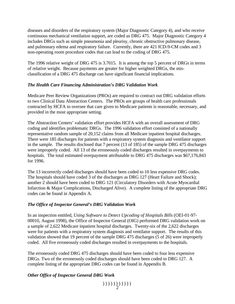diseases and disorders of the respiratory system (Major Diagnostic Category 4), and who receive continuous mechanical ventilation support, are coded as DRG 475. Major Diagnostic Category 4 includes DRGs such as simple pneumonia and pleurisy, chronic obstructive pulmonary disease, and pulmonary edema and respiratory failure. Currently, there are 421 ICD-9-CM codes and 3 non-operating room procedure codes that can lead to the coding of DRG 475.

The 1996 relative weight of DRG 475 is 3.7015. It is among the top 5 percent of DRGs in terms of relative weight. Because payments are greater for higher weighted DRGs, the misclassification of a DRG 475 discharge can have significant financial implications.

#### *The Health Care Financing Administration's DRG Validation Work*

Medicare Peer Review Organizations (PROs) are required to contract out DRG validation efforts to two Clinical Data Abstraction Centers. The PROs are groups of health care professionals contracted by HCFA to oversee that care given to Medicare patients is reasonable, necessary, and provided in the most appropriate setting.

The Abstraction Centers' validation effort provides HCFA with an overall assessment of DRG coding and identifies problematic DRGs. The 1996 validation effort consisted of a nationally representative random sample of 20,152 claims from all Medicare inpatient hospital discharges. There were 185 discharges for patients with a respiratory system diagnosis and ventilator support in the sample. The results disclosed that 7 percent (13 of 185) of the sample DRG 475 discharges were improperly coded. All 13 of the erroneously coded discharges resulted in overpayments to hospitals. The total estimated overpayment attributable to DRG 475 discharges was \$67,176,843 for 1996.

The 13 incorrectly coded discharges should have been coded to 10 less expensive DRG codes. The hospitals should have coded 3 of the discharges as DRG 127 (Heart Failure and Shock); another 2 should have been coded to DRG 121 (Circulatory Disorders with Acute Myocardial Infarction & Major Complications, Discharged Alive). A complete listing of the appropriate DRG codes can be found in Appendix A.

#### *The Office of Inspector General's DRG Validation Work*

In an inspection entitled, *Using Software to Detect Upcoding of Hospitals Bills* (OEI-01-97- 00010, August 1998), the Office of Inspector General (OIG) performed DRG validation work on a sample of 2,622 Medicare inpatient hospital discharges. Twenty-six of the 2,622 discharges were for patients with a respiratory system diagnosis and ventilator support. The results of this validation showed that 19 percent of the sample DRG 475 discharges (5 of 26) were improperly coded. All five erroneously coded discharges resulted in overpayments to the hospitals.

The erroneously coded DRG 475 discharges should have been coded to four less expensive DRGs. Two of the erroneously coded discharges should have been coded to DRG 127. A complete listing of the appropriate DRG codes can be found in Appendix B.

#### *Other Office of Inspector General DRG Work*

 $(1)$ ))))))))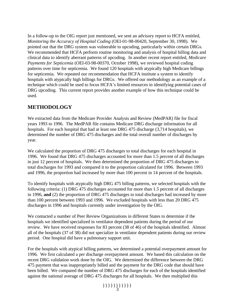In a follow-up to the OIG report just mentioned, we sent an advisory report to HCFA entitled, *Monitoring the Accuracy of Hospital Coding* (OEI-01-98-00420, September 30, 1998). We pointed out that the DRG system was vulnerable to upcoding, particularly within certain DRGs. We recommended that HCFA perform routine monitoring and analysis of hospital billing data and clinical data to identify aberrant patterns of upcoding. In another recent report entitled, *Medicare Payments for Septicemia* (OEI-03-98-00370, October 1998), we reviewed hospital coding patterns over time for septicemia. We found 120 hospitals with atypically high Medicare billings for septicemia. We repeated our recommendation that HCFA institute a system to identify hospitals with atypically high billings for DRGs. We offered our methodology as an example of a technique which could be used to focus HCFA's limited resources in identifying potential cases of DRG upcoding. This current report provides another example of how this technique could be used.

# **METHODOLOGY**

We extracted data from the Medicare Provider Analysis and Review (MedPAR) file for fiscal years 1993 to 1996. The MedPAR file contains Medicare DRG discharge information for all hospitals. For each hospital that had at least one DRG 475 discharge (3,714 hospitals), we determined the number of DRG 475 discharges and the total overall number of discharges by year.

We calculated the proportion of DRG 475 discharges to total discharges for each hospital in 1996. We found that DRG 475 discharges accounted for more than 1.5 percent of all discharges in just 12 percent of hospitals. We then determined the proportion of DRG 475 discharges to total discharges for 1993 and compared it to the proportion calculated for 1996. Between 1993 and 1996, the proportion had increased by more than 100 percent in 14 percent of the hospitals.

To identify hospitals with atypically high DRG 475 billing patterns, we selected hospitals with the following criteria: (1) DRG 475 discharges accounted for more than 1.5 percent of all discharges in 1996, **and** (2) the proportion of DRG 475 discharges to total discharges had increased by more than 100 percent between 1993 and 1996. We excluded hospitals with less than 20 DRG 475 discharges in 1996 and hospitals currently under investigation by the OIG.

We contacted a number of Peer Review Organizations in different States to determine if the hospitals we identified specialized in ventilator dependent patients during the period of our review. We have received responses for 83 percent (38 of 46) of the hospitals identified. Almost all of the hospitals (37 of 38) did not specialize in ventilator dependent patients during our review period. One hospital did have a pulmonary support unit.

For the hospitals with atypical billing patterns, we determined a potential overpayment amount for 1996. We first calculated a per discharge overpayment amount. We based this calculation on the recent DRG validation work done by the OIG. We determined the difference between the DRG 475 payment that was inappropriately billed and the payment for the DRG code that should have been billed. We compared the number of DRG 475 discharges for each of the hospitals identified against the national average of DRG 475 discharges for all hospitals. We then multiplied this

 $(1)$ ))) $(2)$ ))))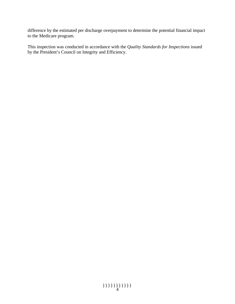difference by the estimated per discharge overpayment to determine the potential financial impact to the Medicare program.

This inspection was conducted in accordance with the *Quality Standards for Inspections* issued by the President's Council on Integrity and Efficiency.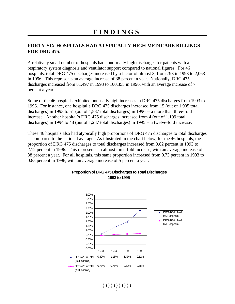# **FINDINGS**

#### **FORTY-SIX HOSPITALS HAD ATYPICALLY HIGH MEDICARE BILLINGS FOR DRG 475.**

A relatively small number of hospitals had abnormally high discharges for patients with a respiratory system diagnosis and ventilator support compared to national figures. For 46 hospitals, total DRG 475 discharges increased by a factor of almost 3, from 793 in 1993 to 2,063 in 1996. This represents an average increase of 38 percent a year. Nationally, DRG 475 discharges increased from 81,497 in 1993 to 100,355 in 1996, with an average increase of 7 percent a year.

Some of the 46 hospitals exhibited unusually high increases in DRG 475 discharges from 1993 to 1996. For instance, one hospital's DRG 475 discharges increased from 15 (out of 1,905 total discharges) in 1993 to 51 (out of 1,837 total discharges) in 1996 -- a more than three-fold increase. Another hospital's DRG 475 discharges increased from 4 (out of 1,199 total discharges) in 1994 to 48 (out of 1,287 total discharges) in 1995 -- a twelve-fold increase.

These 46 hospitals also had atypically high proportions of DRG 475 discharges to total discharges as compared to the national average. As illustrated in the chart below, for the 46 hospitals, the proportion of DRG 475 discharges to total discharges increased from 0.82 percent in 1993 to 2.12 percent in 1996. This represents an almost three-fold increase, with an average increase of 38 percent a year. For all hospitals, this same proportion increased from 0.73 percent in 1993 to 0.85 percent in 1996, with an average increase of 5 percent a year.



#### **Proportion of DRG 475 Discharges to Total Discharges 1993 to 1996**

 $(1)$ )))))))))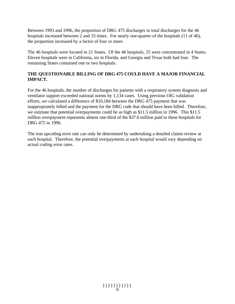Between 1993 and 1996, the proportion of DRG 475 discharges to total discharges for the 46 hospitals increased between 2 and 33 times. For nearly one-quarter of the hospitals (11 of 46), the proportion increased by a factor of four or more.

The 46 hospitals were located in 21 States. Of the 46 hospitals, 25 were concentrated in 4 States. Eleven hospitals were in California, six in Florida, and Georgia and Texas both had four. The remaining States contained one or two hospitals.

#### **THE QUESTIONABLE BILLING OF DRG 475 COULD HAVE A MAJOR FINANCIAL IMPACT.**

For the 46 hospitals, the number of discharges for patients with a respiratory system diagnosis and ventilator support exceeded national norms by 1,134 cases. Using previous OIG validation efforts, we calculated a difference of \$10,184 between the DRG 475 payment that was inappropriately billed and the payment for the DRG code that should have been billed. Therefore, we estimate that potential overpayments could be as high as \$11.5 million in 1996. This \$11.5 million overpayment represents almost one-third of the \$37.6 million paid to these hospitals for DRG 475 in 1996.

The true upcoding error rate can only be determined by undertaking a detailed claims review at each hospital. Therefore, the potential overpayments at each hospital would vary depending on actual coding error rates.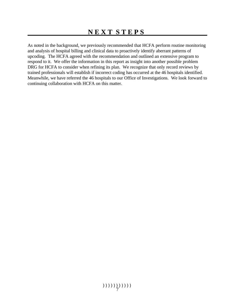As noted in the background, we previously recommended that HCFA perform routine monitoring and analysis of hospital billing and clinical data to proactively identify aberrant patterns of upcoding. The HCFA agreed with the recommendation and outlined an extensive program to respond to it. We offer the information in this report as insight into another possible problem DRG for HCFA to consider when refining its plan. We recognize that only record reviews by trained professionals will establish if incorrect coding has occurred at the 46 hospitals identified. Meanwhile, we have referred the 46 hospitals to our Office of Investigations. We look forward to continuing collaboration with HCFA on this matter.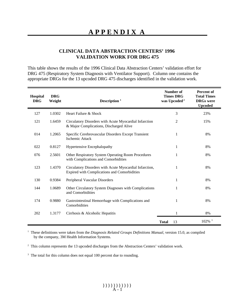## **CLINICAL DATA ABSTRACTION CENTERS' 1996 VALIDATION WORK FOR DRG 475**

This table shows the results of the 1996 Clinical Data Abstraction Centers' validation effort for DRG 475 (Respiratory System Diagnosis with Ventilator Support). Column one contains the appropriate DRGs for the 13 upcoded DRG 475 discharges identified in the validation work.

| Hospital<br><b>DRG</b> | <b>DRG</b><br>Weight | Description $1$                                                                                         | Number of<br><b>Times DRG</b><br>was Upcoded <sup>2</sup> | Percent of<br><b>Total Times</b><br><b>DRGs</b> were<br><b>Upcoded</b> |
|------------------------|----------------------|---------------------------------------------------------------------------------------------------------|-----------------------------------------------------------|------------------------------------------------------------------------|
| 127                    | 1.0302               | Heart Failure & Shock                                                                                   | 3                                                         | 23%                                                                    |
| 121                    | 1.6459               | Circulatory Disorders with Acute Myocardial Infarction<br>& Major Complications, Discharged Alive       | 2                                                         | 15%                                                                    |
| 014                    | 1.2065               | Specific Cerebrovascular Disorders Except Transient<br><b>Ischemic Attack</b>                           | 1                                                         | 8%                                                                     |
| 022                    | 0.8127               | Hypertensive Encephalopathy                                                                             | 1                                                         | 8%                                                                     |
| 076                    | 2.5601               | Other Respiratory System Operating Room Procedures<br>with Complications and Comorbidities              | 1                                                         | 8%                                                                     |
| 123                    | 1.4370               | Circulatory Disorders with Acute Myocardial Infarction,<br>Expired with Complications and Comorbidities | 1                                                         | 8%                                                                     |
| 130                    | 0.9384               | Peripheral Vascular Disorders                                                                           | 1                                                         | 8%                                                                     |
| 144                    | 1.0689               | Other Circulatory System Diagnoses with Complications<br>and Comorbidities                              | 1                                                         | 8%                                                                     |
| 174                    | 0.9880               | Gastrointestinal Hemorrhage with Complications and<br>Comorbidities                                     | 1                                                         | 8%                                                                     |
| 202                    | 1.3177               | Cirrhosis & Alcoholic Hepatitis                                                                         | 1                                                         | 8%                                                                     |
|                        |                      |                                                                                                         | <b>Total</b><br>13                                        | $102\%$ <sup>3</sup>                                                   |

<sup>1</sup> These definitions were taken from the *Diagnosis Related Groups Definitions Manual*, version 15.0, as compiled by the company, 3M Health Information Systems.

<sup>2</sup> This column represents the 13 upcoded discharges from the Abstraction Centers' validation work.

<sup>3</sup> The total for this column does not equal 100 percent due to rounding.